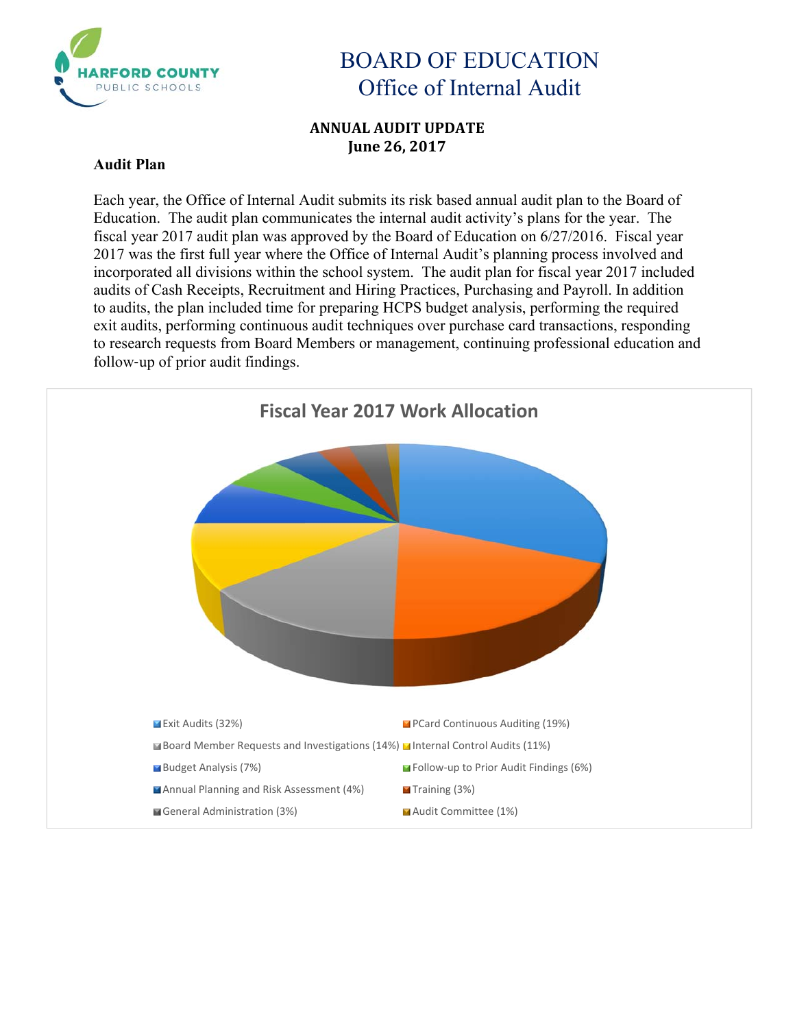

### **ANNUAL AUDIT UPDATE June 26, 2017**

#### **Audit Plan**

Each year, the Office of Internal Audit submits its risk based annual audit plan to the Board of Education. The audit plan communicates the internal audit activity's plans for the year. The fiscal year 2017 audit plan was approved by the Board of Education on 6/27/2016. Fiscal year 2017 was the first full year where the Office of Internal Audit's planning process involved and incorporated all divisions within the school system. The audit plan for fiscal year 2017 included audits of Cash Receipts, Recruitment and Hiring Practices, Purchasing and Payroll. In addition to audits, the plan included time for preparing HCPS budget analysis, performing the required exit audits, performing continuous audit techniques over purchase card transactions, responding to research requests from Board Members or management, continuing professional education and follow‐up of prior audit findings.

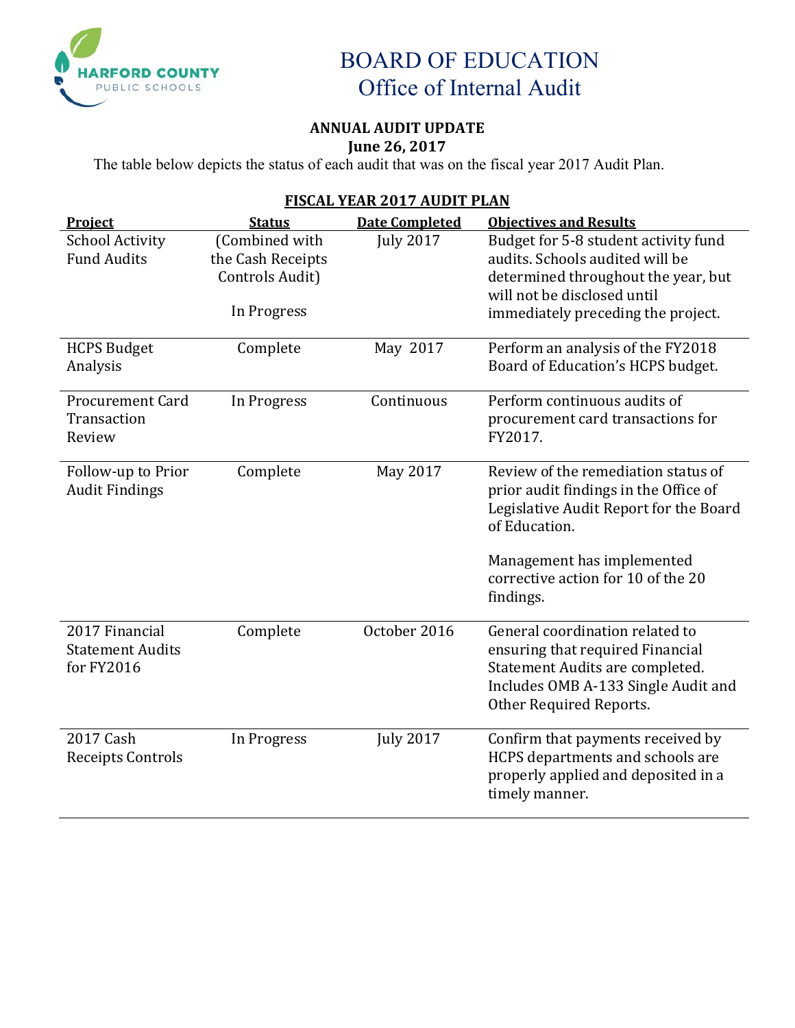

### **ANNUAL AUDIT UPDATE June 26, 2017**

The table below depicts the status of each audit that was on the fiscal year 2017 Audit Plan.

| FISCAL YEAK ZUI / AUDIT PLAN |                   |                       |                                                         |  |  |  |
|------------------------------|-------------------|-----------------------|---------------------------------------------------------|--|--|--|
| Project                      | <b>Status</b>     | <b>Date Completed</b> | <b>Objectives and Results</b>                           |  |  |  |
| <b>School Activity</b>       | (Combined with    | <b>July 2017</b>      | Budget for 5-8 student activity fund                    |  |  |  |
| <b>Fund Audits</b>           | the Cash Receipts |                       | audits. Schools audited will be                         |  |  |  |
|                              | Controls Audit)   |                       | determined throughout the year, but                     |  |  |  |
|                              |                   |                       | will not be disclosed until                             |  |  |  |
|                              | In Progress       |                       | immediately preceding the project.                      |  |  |  |
| <b>HCPS Budget</b>           | Complete          | May 2017              | Perform an analysis of the FY2018                       |  |  |  |
| Analysis                     |                   |                       | Board of Education's HCPS budget.                       |  |  |  |
| <b>Procurement Card</b>      | In Progress       | Continuous            | Perform continuous audits of                            |  |  |  |
| Transaction                  |                   |                       | procurement card transactions for                       |  |  |  |
| Review                       |                   |                       | FY2017.                                                 |  |  |  |
| Follow-up to Prior           | Complete          | May 2017              | Review of the remediation status of                     |  |  |  |
| <b>Audit Findings</b>        |                   |                       | prior audit findings in the Office of                   |  |  |  |
|                              |                   |                       | Legislative Audit Report for the Board<br>of Education. |  |  |  |
|                              |                   |                       | Management has implemented                              |  |  |  |
|                              |                   |                       | corrective action for 10 of the 20                      |  |  |  |
|                              |                   |                       | findings.                                               |  |  |  |
| 2017 Financial               | Complete          | October 2016          | General coordination related to                         |  |  |  |
| <b>Statement Audits</b>      |                   |                       | ensuring that required Financial                        |  |  |  |
| for FY2016                   |                   |                       | Statement Audits are completed.                         |  |  |  |
|                              |                   |                       | Includes OMB A-133 Single Audit and                     |  |  |  |
|                              |                   |                       | Other Required Reports.                                 |  |  |  |
| 2017 Cash                    | In Progress       | <b>July 2017</b>      | Confirm that payments received by                       |  |  |  |
| Receipts Controls            |                   |                       | HCPS departments and schools are                        |  |  |  |
|                              |                   |                       | properly applied and deposited in a                     |  |  |  |
|                              |                   |                       | timely manner.                                          |  |  |  |

## **FISCAL YEAR 2017 AUDIT PLAN**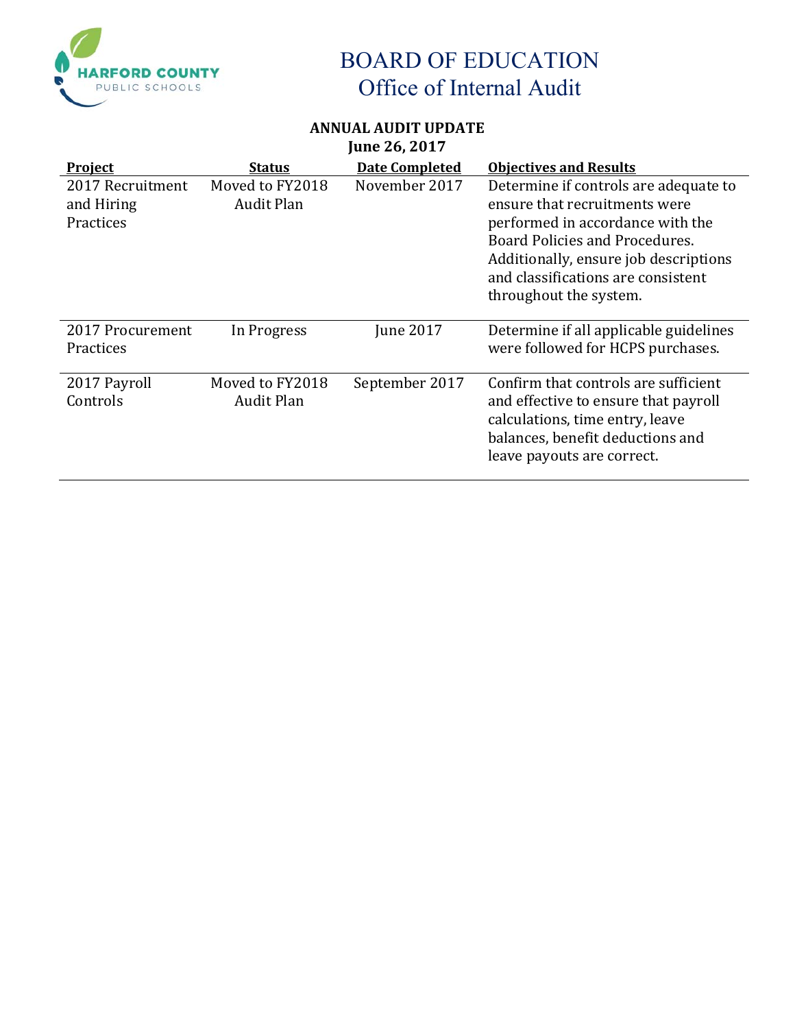

### **ANNUAL AUDIT UPDATE June 26, 2017**

| <b>Project</b>                              | <u>Status</u>                        | <b>Date Completed</b> | <b>Objectives and Results</b>                                                                                                                                                                                                                         |
|---------------------------------------------|--------------------------------------|-----------------------|-------------------------------------------------------------------------------------------------------------------------------------------------------------------------------------------------------------------------------------------------------|
| 2017 Recruitment<br>and Hiring<br>Practices | Moved to FY2018<br>Audit Plan        | November 2017         | Determine if controls are adequate to<br>ensure that recruitments were<br>performed in accordance with the<br>Board Policies and Procedures.<br>Additionally, ensure job descriptions<br>and classifications are consistent<br>throughout the system. |
| 2017 Procurement<br>Practices               | In Progress                          | <b>June 2017</b>      | Determine if all applicable guidelines<br>were followed for HCPS purchases.                                                                                                                                                                           |
| 2017 Payroll<br>Controls                    | Moved to FY2018<br><b>Audit Plan</b> | September 2017        | Confirm that controls are sufficient<br>and effective to ensure that payroll<br>calculations, time entry, leave<br>balances, benefit deductions and<br>leave payouts are correct.                                                                     |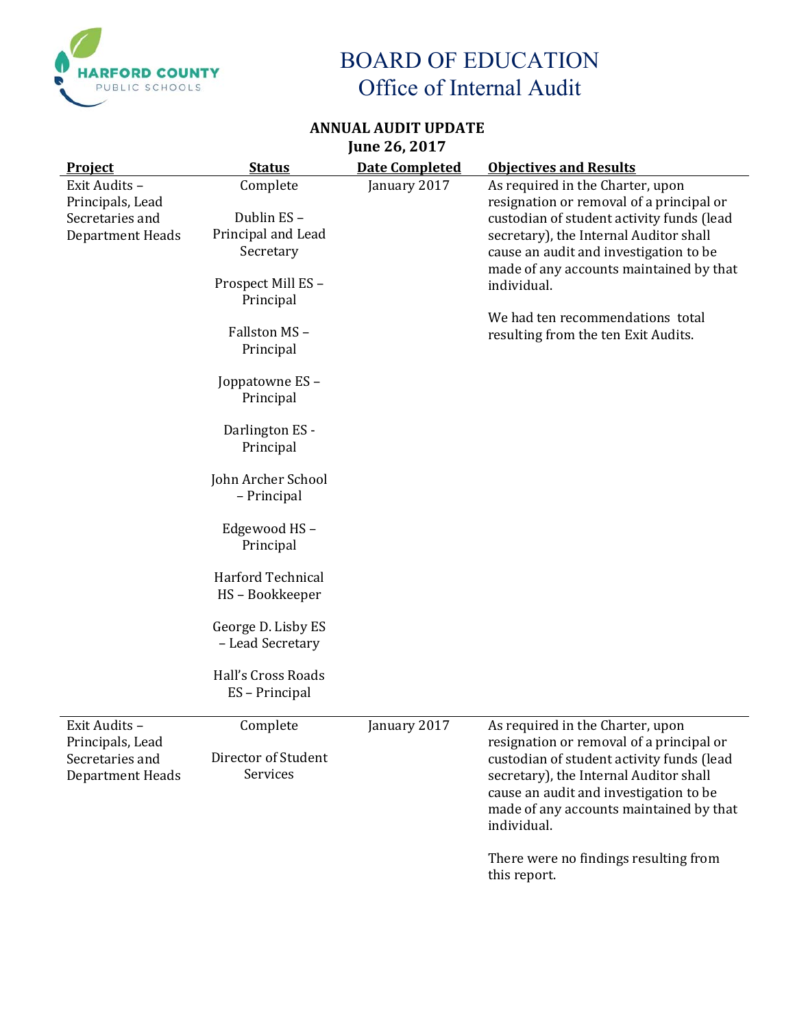

### **ANNUAL AUDIT UPDATE June 26, 2017**

| <b>Project</b>                                                           | <b>Status</b>                                                                                                                                                                                                                                                                                                         | <b>Date Completed</b> | <b>Objectives and Results</b>                                                                                                                                                                                                                                                                                                                      |
|--------------------------------------------------------------------------|-----------------------------------------------------------------------------------------------------------------------------------------------------------------------------------------------------------------------------------------------------------------------------------------------------------------------|-----------------------|----------------------------------------------------------------------------------------------------------------------------------------------------------------------------------------------------------------------------------------------------------------------------------------------------------------------------------------------------|
| Exit Audits -<br>Principals, Lead<br>Secretaries and<br>Department Heads | Complete<br>Dublin ES-<br>Principal and Lead<br>Secretary<br>Prospect Mill ES-<br>Principal<br>Fallston MS-<br>Principal<br>Joppatowne ES-<br>Principal<br>Darlington ES -<br>Principal<br>John Archer School<br>- Principal<br>Edgewood HS-<br>Principal<br>Harford Technical<br>HS-Bookkeeper<br>George D. Lisby ES | January 2017          | As required in the Charter, upon<br>resignation or removal of a principal or<br>custodian of student activity funds (lead<br>secretary), the Internal Auditor shall<br>cause an audit and investigation to be<br>made of any accounts maintained by that<br>individual.<br>We had ten recommendations total<br>resulting from the ten Exit Audits. |
|                                                                          | - Lead Secretary                                                                                                                                                                                                                                                                                                      |                       |                                                                                                                                                                                                                                                                                                                                                    |
|                                                                          | Hall's Cross Roads<br>ES - Principal                                                                                                                                                                                                                                                                                  |                       |                                                                                                                                                                                                                                                                                                                                                    |
| Exit Audits -<br>Principals, Lead<br>Secretaries and<br>Department Heads | Complete<br>Director of Student<br>Services                                                                                                                                                                                                                                                                           | January 2017          | As required in the Charter, upon<br>resignation or removal of a principal or<br>custodian of student activity funds (lead<br>secretary), the Internal Auditor shall<br>cause an audit and investigation to be<br>made of any accounts maintained by that<br>individual.                                                                            |

There were no findings resulting from this report.